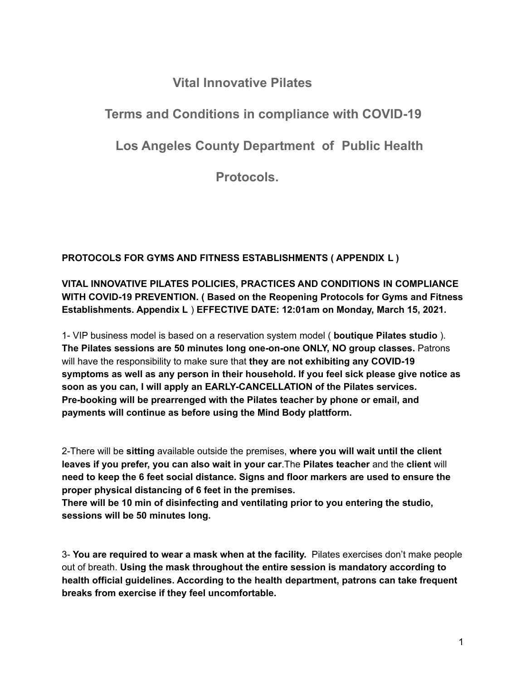## **Vital Innovative Pilates**

## **Terms and Conditions in compliance with COVID-19**

**Los Angeles County Department of Public Health**

**Protocols.**

**PROTOCOLS FOR GYMS AND FITNESS ESTABLISHMENTS ( APPENDIX L )**

## **VITAL INNOVATIVE PILATES POLICIES, PRACTICES AND CONDITIONS IN COMPLIANCE WITH COVID-19 PREVENTION. ( Based on the Reopening Protocols for Gyms and Fitness Establishments. Appendix L** ) **EFFECTIVE DATE: 12:01am on Monday, March 15, 2021.**

1- VIP business model is based on a reservation system model ( **boutique Pilates studio** ). **The Pilates sessions are 50 minutes long one-on-one ONLY, NO group classes.** Patrons will have the responsibility to make sure that **they are not exhibiting any COVID-19 symptoms as well as any person in their household. If you feel sick please give notice as soon as you can, I will apply an EARLY-CANCELLATION of the Pilates services. Pre-booking will be prearrenged with the Pilates teacher by phone or email, and payments will continue as before using the Mind Body plattform.**

2-There will be **sitting** available outside the premises, **where you will wait until the client leaves if you prefer, you can also wait in your car**.The **Pilates teacher** and the **client** will **need to keep the 6 feet social distance. Signs and floor markers are used to ensure the proper physical distancing of 6 feet in the premises.**

**There will be 10 min of disinfecting and ventilating prior to you entering the studio, sessions will be 50 minutes long.**

3- **You are required to wear a mask when at the facility.** Pilates exercises don't make people out of breath. **Using the mask throughout the entire session is mandatory according to health official guidelines. According to the health department, patrons can take frequent breaks from exercise if they feel uncomfortable.**